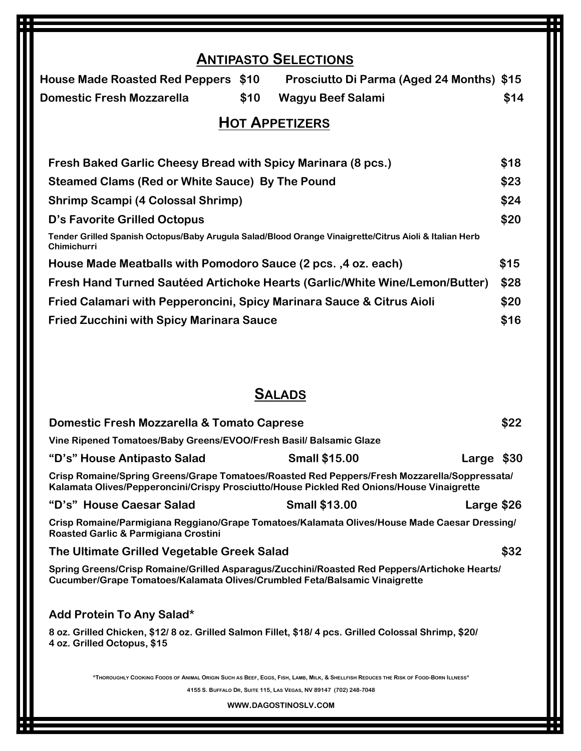# **ANTIPASTO SELECTIONS House Made Roasted Red Peppers \$10 Prosciutto Di Parma (Aged 24 Months) \$15 Domestic Fresh Mozzarella \$10 Wagyu Beef Salami \$14 HOT APPETIZERS Fresh Baked Garlic Cheesy Bread with Spicy Marinara (8 pcs.) \$18 Steamed Clams (Red or White Sauce) By The Pound \$23 Shrimp Scampi (4 Colossal Shrimp) \$24 D's Favorite Grilled Octopus \$20 Tender Grilled Spanish Octopus/Baby Arugula Salad/Blood Orange Vinaigrette/Citrus Aioli & Italian Herb Chimichurri House Made Meatballs with Pomodoro Sauce (2 pcs. ,4 oz. each) \$15 Fresh Hand Turned Sautéed Artichoke Hearts (Garlic/White Wine/Lemon/Butter) \$28 Fried Calamari with Pepperoncini, Spicy Marinara Sauce & Citrus Aioli \$20 Fried Zucchini with Spicy Marinara Sauce \$16**

### **SALADS**

| Domestic Fresh Mozzarella & Tomato Caprese                                                                                                                                                |                      |            |      |  |  |  |
|-------------------------------------------------------------------------------------------------------------------------------------------------------------------------------------------|----------------------|------------|------|--|--|--|
| Vine Ripened Tomatoes/Baby Greens/EVOO/Fresh Basil/ Balsamic Glaze                                                                                                                        |                      |            |      |  |  |  |
| "D's" House Antipasto Salad                                                                                                                                                               | <b>Small \$15.00</b> | Large \$30 |      |  |  |  |
| Crisp Romaine/Spring Greens/Grape Tomatoes/Roasted Red Peppers/Fresh Mozzarella/Soppressata/<br>Kalamata Olives/Pepperoncini/Crispy Prosciutto/House Pickled Red Onions/House Vinaigrette |                      |            |      |  |  |  |
| "D's" House Caesar Salad                                                                                                                                                                  | <b>Small \$13.00</b> | Large \$26 |      |  |  |  |
| Crisp Romaine/Parmigiana Reggiano/Grape Tomatoes/Kalamata Olives/House Made Caesar Dressing/<br>Roasted Garlic & Parmigiana Crostini                                                      |                      |            |      |  |  |  |
| The Ultimate Grilled Vegetable Greek Salad                                                                                                                                                |                      |            | \$32 |  |  |  |
| Spring Greens/Crisp Romaine/Grilled Asparagus/Zucchini/Roasted Red Peppers/Artichoke Hearts/<br>Cucumber/Grape Tomatoes/Kalamata Olives/Crumbled Feta/Balsamic Vinaigrette                |                      |            |      |  |  |  |
| Add Protein To Any Salad*                                                                                                                                                                 |                      |            |      |  |  |  |
| 8 oz. Grilled Chicken, \$12/8 oz. Grilled Salmon Fillet, \$18/4 pcs. Grilled Colossal Shrimp, \$20/<br>4 oz. Grilled Octopus, \$15                                                        |                      |            |      |  |  |  |
| *THOROUGHLY COOKING FOODS OF ANIMAL ORIGIN SUCH AS BEEF, EGGS, FISH, LAMB, MILK, & SHELLFISH REDUCES THE RISK OF FOOD-BORN ILLNESS*                                                       |                      |            |      |  |  |  |
| 4155 S. BUFFALO DR, SUITE 115, LAS VEGAS, NV 89147 (702) 248-7048                                                                                                                         |                      |            |      |  |  |  |
| WWW.DAGOSTINOSLV.COM                                                                                                                                                                      |                      |            |      |  |  |  |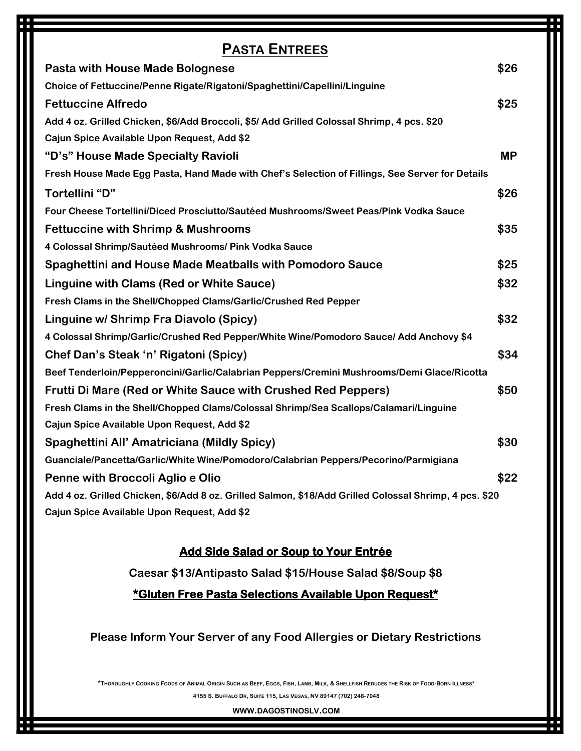| <b>PASTA ENTREES</b>                                                                                   |           |  |
|--------------------------------------------------------------------------------------------------------|-----------|--|
| <b>Pasta with House Made Bolognese</b>                                                                 | \$26      |  |
| Choice of Fettuccine/Penne Rigate/Rigatoni/Spaghettini/Capellini/Linguine                              |           |  |
| <b>Fettuccine Alfredo</b>                                                                              | \$25      |  |
| Add 4 oz. Grilled Chicken, \$6/Add Broccoli, \$5/ Add Grilled Colossal Shrimp, 4 pcs. \$20             |           |  |
| Cajun Spice Available Upon Request, Add \$2                                                            |           |  |
| "D's" House Made Specialty Ravioli                                                                     | <b>MP</b> |  |
| Fresh House Made Egg Pasta, Hand Made with Chef's Selection of Fillings, See Server for Details        |           |  |
| Tortellini "D"                                                                                         | \$26      |  |
| Four Cheese Tortellini/Diced Prosciutto/Sautéed Mushrooms/Sweet Peas/Pink Vodka Sauce                  |           |  |
| <b>Fettuccine with Shrimp &amp; Mushrooms</b>                                                          | \$35      |  |
| 4 Colossal Shrimp/Sautéed Mushrooms/ Pink Vodka Sauce                                                  |           |  |
| <b>Spaghettini and House Made Meatballs with Pomodoro Sauce</b>                                        | \$25      |  |
| Linguine with Clams (Red or White Sauce)                                                               | \$32      |  |
| Fresh Clams in the Shell/Chopped Clams/Garlic/Crushed Red Pepper                                       |           |  |
| Linguine w/ Shrimp Fra Diavolo (Spicy)                                                                 | \$32      |  |
| 4 Colossal Shrimp/Garlic/Crushed Red Pepper/White Wine/Pomodoro Sauce/ Add Anchovy \$4                 |           |  |
| Chef Dan's Steak 'n' Rigatoni (Spicy)                                                                  | \$34      |  |
| Beef Tenderloin/Pepperoncini/Garlic/Calabrian Peppers/Cremini Mushrooms/Demi Glace/Ricotta             |           |  |
| <b>Frutti Di Mare (Red or White Sauce with Crushed Red Peppers)</b>                                    | \$50      |  |
| Fresh Clams in the Shell/Chopped Clams/Colossal Shrimp/Sea Scallops/Calamari/Linguine                  |           |  |
| Cajun Spice Available Upon Request, Add \$2                                                            |           |  |
| Spaghettini All' Amatriciana (Mildly Spicy)                                                            | \$30      |  |
| Guanciale/Pancetta/Garlic/White Wine/Pomodoro/Calabrian Peppers/Pecorino/Parmigiana                    |           |  |
| Penne with Broccoli Aglio e Olio                                                                       | \$22      |  |
| Add 4 oz. Grilled Chicken, \$6/Add 8 oz. Grilled Salmon, \$18/Add Grilled Colossal Shrimp, 4 pcs. \$20 |           |  |
| Cajun Spice Available Upon Request, Add \$2                                                            |           |  |

#### **Add Side Salad or Soup to Your Entrée**

**Caesar \$13/Antipasto Salad \$15/House Salad \$8/Soup \$8**

**\*Gluten Free Pasta Selections Available Upon Request\*** 

#### **Please Inform Your Server of any Food Allergies or Dietary Restrictions**

\*THOROUGHLY COOKING FOODS OF ANIMAL ORIGIN SUCH AS BEEF, EGGS, FISH, LAMB, MILK, & SHELLFISH REDUCES THE RISK OF FOOD-BORN ILLNESS\* **4155 S. BUFFALO DR, SUITE 115, LAS VEGAS, NV 89147 (702) 248-7048**

**WWW.DAGOSTINOSLV.COM**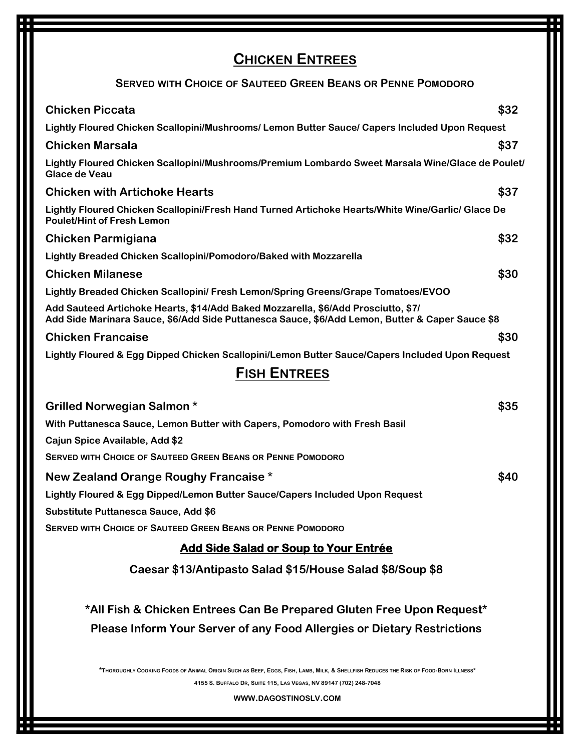# **CHICKEN ENTREES**

#### **SERVED WITH CHOICE OF SAUTEED GREEN BEANS OR PENNE POMODORO**

| <b>Chicken Piccata</b>                                                                                                                                                                                                           | \$32 |
|----------------------------------------------------------------------------------------------------------------------------------------------------------------------------------------------------------------------------------|------|
| Lightly Floured Chicken Scallopini/Mushrooms/ Lemon Butter Sauce/ Capers Included Upon Request                                                                                                                                   |      |
| <b>Chicken Marsala</b>                                                                                                                                                                                                           | \$37 |
| Lightly Floured Chicken Scallopini/Mushrooms/Premium Lombardo Sweet Marsala Wine/Glace de Poulet/<br>Glace de Veau                                                                                                               |      |
| <b>Chicken with Artichoke Hearts</b>                                                                                                                                                                                             | \$37 |
| Lightly Floured Chicken Scallopini/Fresh Hand Turned Artichoke Hearts/White Wine/Garlic/ Glace De<br><b>Poulet/Hint of Fresh Lemon</b>                                                                                           |      |
| <b>Chicken Parmigiana</b>                                                                                                                                                                                                        | \$32 |
| Lightly Breaded Chicken Scallopini/Pomodoro/Baked with Mozzarella                                                                                                                                                                |      |
| <b>Chicken Milanese</b>                                                                                                                                                                                                          | \$30 |
| Lightly Breaded Chicken Scallopini/ Fresh Lemon/Spring Greens/Grape Tomatoes/EVOO                                                                                                                                                |      |
| Add Sauteed Artichoke Hearts, \$14/Add Baked Mozzarella, \$6/Add Prosciutto, \$7/<br>Add Side Marinara Sauce, \$6/Add Side Puttanesca Sauce, \$6/Add Lemon, Butter & Caper Sauce \$8                                             |      |
| <b>Chicken Francaise</b>                                                                                                                                                                                                         | \$30 |
| Lightly Floured & Egg Dipped Chicken Scallopini/Lemon Butter Sauce/Capers Included Upon Request                                                                                                                                  |      |
| <b>FISH ENTREES</b>                                                                                                                                                                                                              |      |
| <b>Grilled Norwegian Salmon *</b>                                                                                                                                                                                                | \$35 |
| With Puttanesca Sauce, Lemon Butter with Capers, Pomodoro with Fresh Basil                                                                                                                                                       |      |
| Cajun Spice Available, Add \$2                                                                                                                                                                                                   |      |
| <b>SERVED WITH CHOICE OF SAUTEED GREEN BEANS OR PENNE POMODORO</b>                                                                                                                                                               |      |
| New Zealand Orange Roughy Francaise *                                                                                                                                                                                            | \$40 |
| Lightly Floured & Egg Dipped/Lemon Butter Sauce/Capers Included Upon Request                                                                                                                                                     |      |
| Substitute Puttanesca Sauce, Add \$6                                                                                                                                                                                             |      |
| <b>SERVED WITH CHOICE OF SAUTEED GREEN BEANS OR PENNE POMODORO</b>                                                                                                                                                               |      |
| <b>Add Side Salad or Soup to Your Entrée</b>                                                                                                                                                                                     |      |
| Caesar \$13/Antipasto Salad \$15/House Salad \$8/Soup \$8                                                                                                                                                                        |      |
| *All Fish & Chicken Entrees Can Be Prepared Gluten Free Upon Request*                                                                                                                                                            |      |
| <b>Please Inform Your Server of any Food Allergies or Dietary Restrictions</b>                                                                                                                                                   |      |
| *THOROUGHLY COOKING FOODS OF ANIMAL ORIGIN SUCH AS BEEF, EGGS, FISH, LAMB, MILK, & SHELLFISH REDUCES THE RISK OF FOOD-BORN ILLNESS*<br>4155 S. BUFFALO DR, SUITE 115, LAS VEGAS, NV 89147 (702) 248-7048<br>WWW.DAGOSTINOSLV.COM |      |